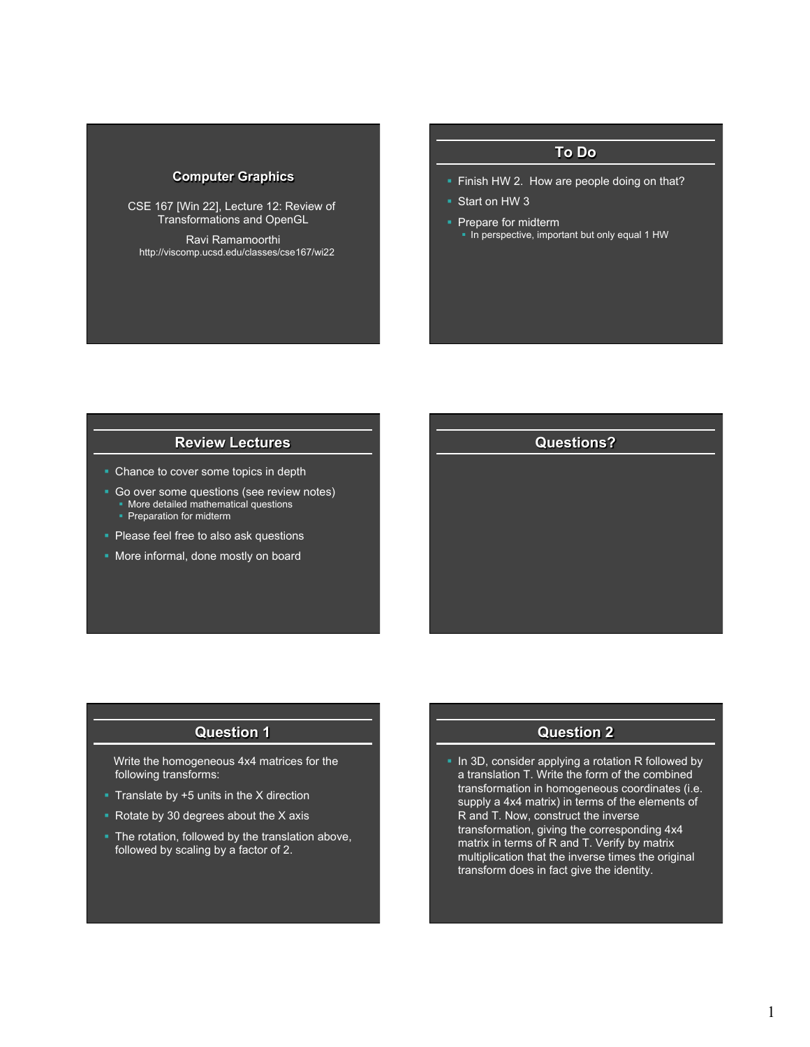# **Computer Graphics**

CSE 167 [Win 22], Lecture 12: Review of Transformations and OpenGL

Ravi Ramamoorthi http://viscomp.ucsd.edu/classes/cse167/wi22

# **To Do**

- **Finish HW 2. How are people doing on that?**
- § Start on HW 3
- Prepare for midterm
- In perspective, important but only equal 1 HW

# **Review Lectures**

- Chance to cover some topics in depth
- Go over some questions (see review notes)
	- § More detailed mathematical questions
	- Preparation for midterm
- **Please feel free to also ask questions**
- More informal, done mostly on board

# **Questions?**

## **Question 1**

 Write the homogeneous 4x4 matrices for the following transforms:

- **Translate by**  $+5$  **units in the X direction**
- Rotate by 30 degrees about the X axis
- § The rotation, followed by the translation above, followed by scaling by a factor of 2.

# **Question 2**

• In 3D, consider applying a rotation R followed by a translation T. Write the form of the combined transformation in homogeneous coordinates (i.e. supply a 4x4 matrix) in terms of the elements of R and T. Now, construct the inverse transformation, giving the corresponding 4x4 matrix in terms of R and T. Verify by matrix multiplication that the inverse times the original transform does in fact give the identity.